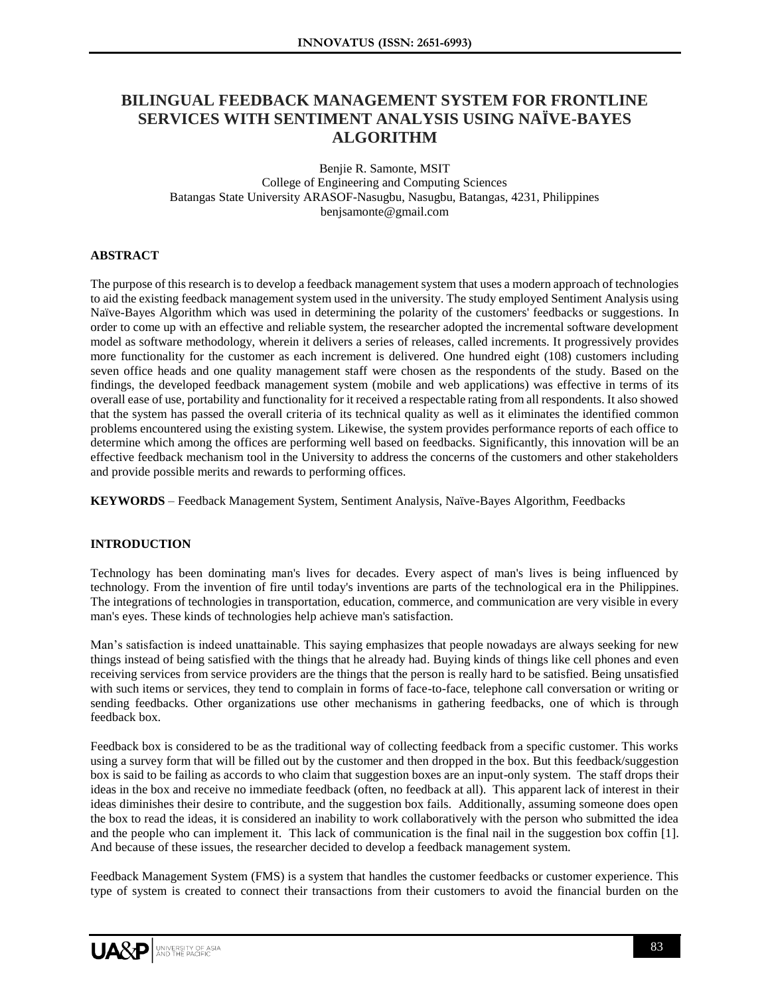# **BILINGUAL FEEDBACK MANAGEMENT SYSTEM FOR FRONTLINE SERVICES WITH SENTIMENT ANALYSIS USING NAÏVE-BAYES ALGORITHM**

Benjie R. Samonte, MSIT College of Engineering and Computing Sciences Batangas State University ARASOF-Nasugbu, Nasugbu, Batangas, 4231, Philippines benjsamonte@gmail.com

# **ABSTRACT**

The purpose of this research is to develop a feedback management system that uses a modern approach of technologies to aid the existing feedback management system used in the university. The study employed Sentiment Analysis using Naïve-Bayes Algorithm which was used in determining the polarity of the customers' feedbacks or suggestions. In order to come up with an effective and reliable system, the researcher adopted the incremental software development model as software methodology, wherein it delivers a series of releases, called increments. It progressively provides more functionality for the customer as each increment is delivered. One hundred eight (108) customers including seven office heads and one quality management staff were chosen as the respondents of the study. Based on the findings, the developed feedback management system (mobile and web applications) was effective in terms of its overall ease of use, portability and functionality for it received a respectable rating from all respondents. It also showed that the system has passed the overall criteria of its technical quality as well as it eliminates the identified common problems encountered using the existing system. Likewise, the system provides performance reports of each office to determine which among the offices are performing well based on feedbacks. Significantly, this innovation will be an effective feedback mechanism tool in the University to address the concerns of the customers and other stakeholders and provide possible merits and rewards to performing offices.

**KEYWORDS** – Feedback Management System, Sentiment Analysis, Naïve-Bayes Algorithm, Feedbacks

# **INTRODUCTION**

Technology has been dominating man's lives for decades. Every aspect of man's lives is being influenced by technology. From the invention of fire until today's inventions are parts of the technological era in the Philippines. The integrations of technologies in transportation, education, commerce, and communication are very visible in every man's eyes. These kinds of technologies help achieve man's satisfaction.

Man's satisfaction is indeed unattainable. This saying emphasizes that people nowadays are always seeking for new things instead of being satisfied with the things that he already had. Buying kinds of things like cell phones and even receiving services from service providers are the things that the person is really hard to be satisfied. Being unsatisfied with such items or services, they tend to complain in forms of face-to-face, telephone call conversation or writing or sending feedbacks. Other organizations use other mechanisms in gathering feedbacks, one of which is through feedback box.

Feedback box is considered to be as the traditional way of collecting feedback from a specific customer. This works using a survey form that will be filled out by the customer and then dropped in the box. But this feedback/suggestion box is said to be failing as accords to who claim that suggestion boxes are an input-only system. The staff drops their ideas in the box and receive no immediate feedback (often, no feedback at all). This apparent lack of interest in their ideas diminishes their desire to contribute, and the suggestion box fails. Additionally, assuming someone does open the box to read the ideas, it is considered an inability to work collaboratively with the person who submitted the idea and the people who can implement it. This lack of communication is the final nail in the suggestion box coffin [1]. And because of these issues, the researcher decided to develop a feedback management system.

Feedback Management System (FMS) is a system that handles the customer feedbacks or customer experience. This type of system is created to connect their transactions from their customers to avoid the financial burden on the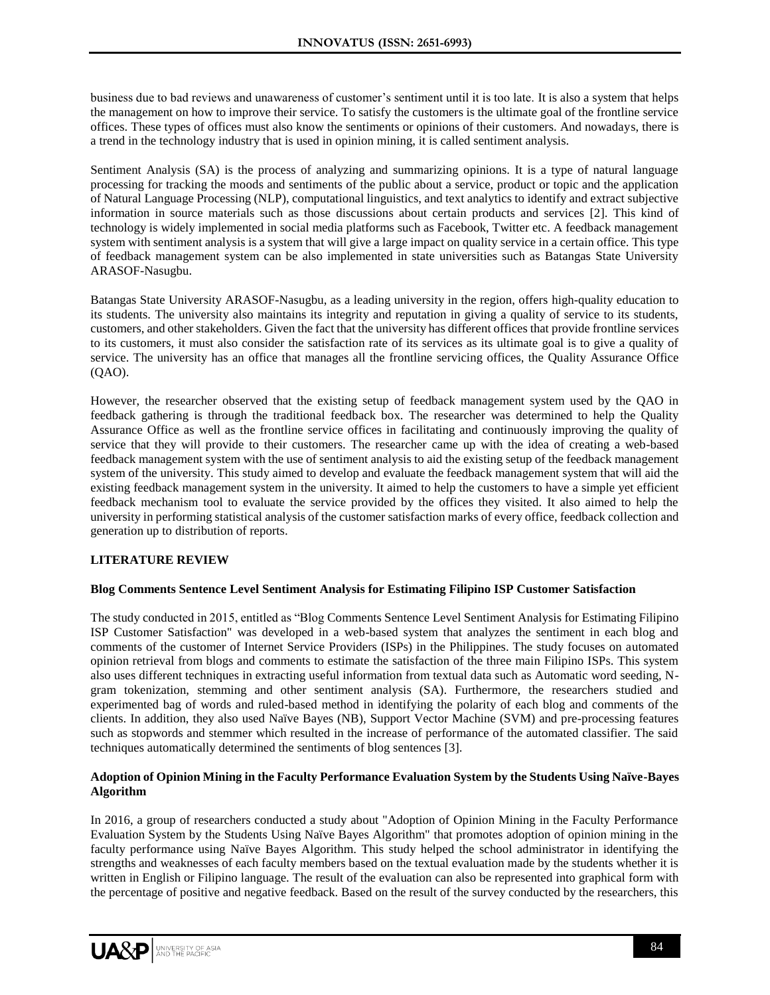business due to bad reviews and unawareness of customer's sentiment until it is too late. It is also a system that helps the management on how to improve their service. To satisfy the customers is the ultimate goal of the frontline service offices. These types of offices must also know the sentiments or opinions of their customers. And nowadays, there is a trend in the technology industry that is used in opinion mining, it is called sentiment analysis.

Sentiment Analysis (SA) is the process of analyzing and summarizing opinions. It is a type of natural language processing for tracking the moods and sentiments of the public about a service, product or topic and the application of Natural Language Processing (NLP), computational linguistics, and text analytics to identify and extract subjective information in source materials such as those discussions about certain products and services [2]. This kind of technology is widely implemented in social media platforms such as Facebook, Twitter etc. A feedback management system with sentiment analysis is a system that will give a large impact on quality service in a certain office. This type of feedback management system can be also implemented in state universities such as Batangas State University ARASOF-Nasugbu.

Batangas State University ARASOF-Nasugbu, as a leading university in the region, offers high-quality education to its students. The university also maintains its integrity and reputation in giving a quality of service to its students, customers, and other stakeholders. Given the fact that the university has different offices that provide frontline services to its customers, it must also consider the satisfaction rate of its services as its ultimate goal is to give a quality of service. The university has an office that manages all the frontline servicing offices, the Quality Assurance Office (QAO).

However, the researcher observed that the existing setup of feedback management system used by the QAO in feedback gathering is through the traditional feedback box. The researcher was determined to help the Quality Assurance Office as well as the frontline service offices in facilitating and continuously improving the quality of service that they will provide to their customers. The researcher came up with the idea of creating a web-based feedback management system with the use of sentiment analysis to aid the existing setup of the feedback management system of the university. This study aimed to develop and evaluate the feedback management system that will aid the existing feedback management system in the university. It aimed to help the customers to have a simple yet efficient feedback mechanism tool to evaluate the service provided by the offices they visited. It also aimed to help the university in performing statistical analysis of the customer satisfaction marks of every office, feedback collection and generation up to distribution of reports.

# **LITERATURE REVIEW**

# **Blog Comments Sentence Level Sentiment Analysis for Estimating Filipino ISP Customer Satisfaction**

The study conducted in 2015, entitled as "Blog Comments Sentence Level Sentiment Analysis for Estimating Filipino ISP Customer Satisfaction" was developed in a web-based system that analyzes the sentiment in each blog and comments of the customer of Internet Service Providers (ISPs) in the Philippines. The study focuses on automated opinion retrieval from blogs and comments to estimate the satisfaction of the three main Filipino ISPs. This system also uses different techniques in extracting useful information from textual data such as Automatic word seeding, Ngram tokenization, stemming and other sentiment analysis (SA). Furthermore, the researchers studied and experimented bag of words and ruled-based method in identifying the polarity of each blog and comments of the clients. In addition, they also used Naïve Bayes (NB), Support Vector Machine (SVM) and pre-processing features such as stopwords and stemmer which resulted in the increase of performance of the automated classifier. The said techniques automatically determined the sentiments of blog sentences [3].

# **Adoption of Opinion Mining in the Faculty Performance Evaluation System by the Students Using Naïve-Bayes Algorithm**

In 2016, a group of researchers conducted a study about "Adoption of Opinion Mining in the Faculty Performance Evaluation System by the Students Using Naïve Bayes Algorithm" that promotes adoption of opinion mining in the faculty performance using Naïve Bayes Algorithm. This study helped the school administrator in identifying the strengths and weaknesses of each faculty members based on the textual evaluation made by the students whether it is written in English or Filipino language. The result of the evaluation can also be represented into graphical form with the percentage of positive and negative feedback. Based on the result of the survey conducted by the researchers, this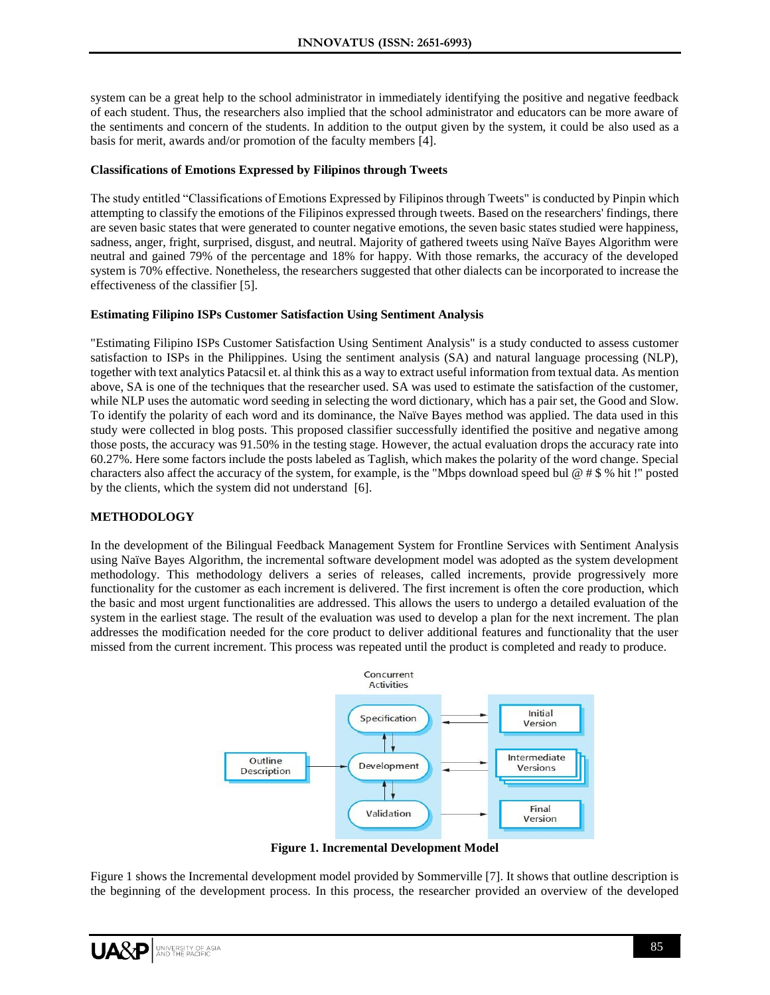system can be a great help to the school administrator in immediately identifying the positive and negative feedback of each student. Thus, the researchers also implied that the school administrator and educators can be more aware of the sentiments and concern of the students. In addition to the output given by the system, it could be also used as a basis for merit, awards and/or promotion of the faculty members [4].

# **Classifications of Emotions Expressed by Filipinos through Tweets**

The study entitled "Classifications of Emotions Expressed by Filipinos through Tweets" is conducted by Pinpin which attempting to classify the emotions of the Filipinos expressed through tweets. Based on the researchers' findings, there are seven basic states that were generated to counter negative emotions, the seven basic states studied were happiness, sadness, anger, fright, surprised, disgust, and neutral. Majority of gathered tweets using Naïve Bayes Algorithm were neutral and gained 79% of the percentage and 18% for happy. With those remarks, the accuracy of the developed system is 70% effective. Nonetheless, the researchers suggested that other dialects can be incorporated to increase the effectiveness of the classifier [5].

# **Estimating Filipino ISPs Customer Satisfaction Using Sentiment Analysis**

"Estimating Filipino ISPs Customer Satisfaction Using Sentiment Analysis" is a study conducted to assess customer satisfaction to ISPs in the Philippines. Using the sentiment analysis (SA) and natural language processing (NLP), together with text analytics Patacsil et. al think this as a way to extract useful information from textual data. As mention above, SA is one of the techniques that the researcher used. SA was used to estimate the satisfaction of the customer, while NLP uses the automatic word seeding in selecting the word dictionary, which has a pair set, the Good and Slow. To identify the polarity of each word and its dominance, the Naïve Bayes method was applied. The data used in this study were collected in blog posts. This proposed classifier successfully identified the positive and negative among those posts, the accuracy was 91.50% in the testing stage. However, the actual evaluation drops the accuracy rate into 60.27%. Here some factors include the posts labeled as Taglish, which makes the polarity of the word change. Special characters also affect the accuracy of the system, for example, is the "Mbps download speed bul  $@#$  \$% hit!" posted by the clients, which the system did not understand [6].

# **METHODOLOGY**

In the development of the Bilingual Feedback Management System for Frontline Services with Sentiment Analysis using Naïve Bayes Algorithm, the incremental software development model was adopted as the system development methodology. This methodology delivers a series of releases, called increments, provide progressively more functionality for the customer as each increment is delivered. The first increment is often the core production, which the basic and most urgent functionalities are addressed. This allows the users to undergo a detailed evaluation of the system in the earliest stage. The result of the evaluation was used to develop a plan for the next increment. The plan addresses the modification needed for the core product to deliver additional features and functionality that the user missed from the current increment. This process was repeated until the product is completed and ready to produce.



**Figure 1. Incremental Development Model**

Figure 1 shows the Incremental development model provided by Sommerville [7]. It shows that outline description is the beginning of the development process. In this process, the researcher provided an overview of the developed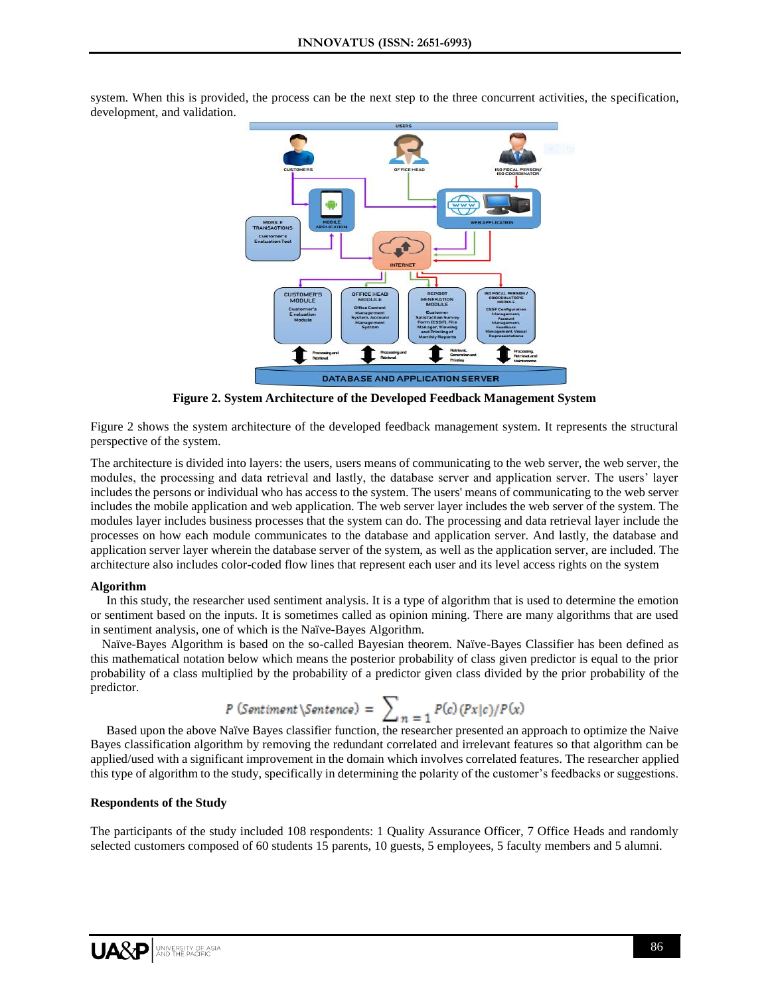

system. When this is provided, the process can be the next step to the three concurrent activities, the specification, development, and validation.

**Figure 2. System Architecture of the Developed Feedback Management System**

Figure 2 shows the system architecture of the developed feedback management system. It represents the structural perspective of the system.

The architecture is divided into layers: the users, users means of communicating to the web server, the web server, the modules, the processing and data retrieval and lastly, the database server and application server. The users' layer includes the persons or individual who has access to the system. The users' means of communicating to the web server includes the mobile application and web application. The web server layer includes the web server of the system. The modules layer includes business processes that the system can do. The processing and data retrieval layer include the processes on how each module communicates to the database and application server. And lastly, the database and application server layer wherein the database server of the system, as well as the application server, are included. The architecture also includes color-coded flow lines that represent each user and its level access rights on the system

#### **Algorithm**

 In this study, the researcher used sentiment analysis. It is a type of algorithm that is used to determine the emotion or sentiment based on the inputs. It is sometimes called as opinion mining. There are many algorithms that are used in sentiment analysis, one of which is the Naïve-Bayes Algorithm.

 Naïve-Bayes Algorithm is based on the so-called Bayesian theorem. Naïve-Bayes Classifier has been defined as this mathematical notation below which means the posterior probability of class given predictor is equal to the prior probability of a class multiplied by the probability of a predictor given class divided by the prior probability of the predictor.

$$
P(Sentiment \setminus \mathit{Sentence}) = \sum_{n=1} P(c) (Px|c) / P(x)
$$

 Based upon the above Naïve Bayes classifier function, the researcher presented an approach to optimize the Naive Bayes classification algorithm by removing the redundant correlated and irrelevant features so that algorithm can be applied/used with a significant improvement in the domain which involves correlated features. The researcher applied this type of algorithm to the study, specifically in determining the polarity of the customer's feedbacks or suggestions.

#### **Respondents of the Study**

The participants of the study included 108 respondents: 1 Quality Assurance Officer, 7 Office Heads and randomly selected customers composed of 60 students 15 parents, 10 guests, 5 employees, 5 faculty members and 5 alumni.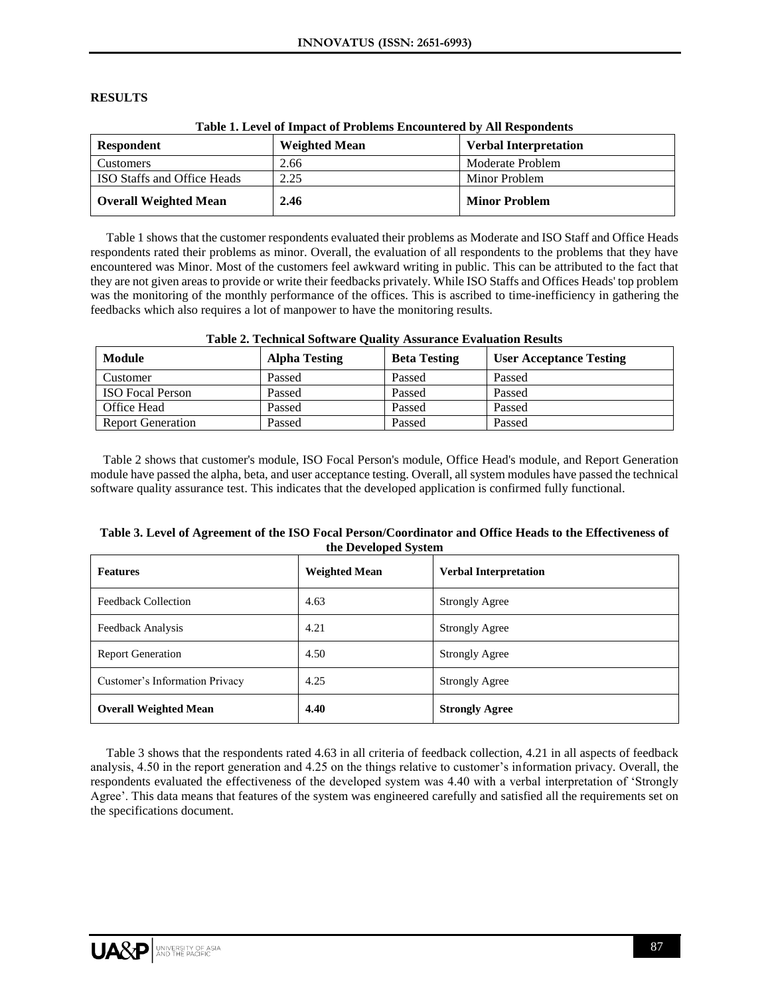### **RESULTS**

| <b>Respondent</b>            | <b>Weighted Mean</b> | <b>Verbal Interpretation</b> |
|------------------------------|----------------------|------------------------------|
| Customers                    | 2.66                 | Moderate Problem             |
| ISO Staffs and Office Heads  | 2.25                 | Minor Problem                |
| <b>Overall Weighted Mean</b> | 2.46                 | <b>Minor Problem</b>         |

**Table 1. Level of Impact of Problems Encountered by All Respondents**

 Table 1 shows that the customer respondents evaluated their problems as Moderate and ISO Staff and Office Heads respondents rated their problems as minor. Overall, the evaluation of all respondents to the problems that they have encountered was Minor. Most of the customers feel awkward writing in public. This can be attributed to the fact that they are not given areas to provide or write their feedbacks privately. While ISO Staffs and Offices Heads' top problem was the monitoring of the monthly performance of the offices. This is ascribed to time-inefficiency in gathering the feedbacks which also requires a lot of manpower to have the monitoring results.

| Module                   | <b>Alpha Testing</b> | <b>Beta Testing</b> | <b>User Acceptance Testing</b> |
|--------------------------|----------------------|---------------------|--------------------------------|
| Customer                 | Passed               | Passed              | Passed                         |
| <b>ISO</b> Focal Person  | Passed               | Passed              | Passed                         |
| Office Head              | Passed               | Passed              | Passed                         |
| <b>Report Generation</b> | Passed               | Passed              | Passed                         |

# **Table 2. Technical Software Quality Assurance Evaluation Results**

 Table 2 shows that customer's module, ISO Focal Person's module, Office Head's module, and Report Generation module have passed the alpha, beta, and user acceptance testing. Overall, all system modules have passed the technical software quality assurance test. This indicates that the developed application is confirmed fully functional.

| Table 3. Level of Agreement of the ISO Focal Person/Coordinator and Office Heads to the Effectiveness of |
|----------------------------------------------------------------------------------------------------------|
| the Developed System                                                                                     |

| <b>Features</b>                | <b>Weighted Mean</b> | <b>Verbal Interpretation</b> |
|--------------------------------|----------------------|------------------------------|
| <b>Feedback Collection</b>     | 4.63                 | <b>Strongly Agree</b>        |
| Feedback Analysis              | 4.21                 | <b>Strongly Agree</b>        |
| <b>Report Generation</b>       | 4.50                 | <b>Strongly Agree</b>        |
| Customer's Information Privacy | 4.25                 | <b>Strongly Agree</b>        |
| <b>Overall Weighted Mean</b>   | 4.40                 | <b>Strongly Agree</b>        |

 Table 3 shows that the respondents rated 4.63 in all criteria of feedback collection, 4.21 in all aspects of feedback analysis, 4.50 in the report generation and 4.25 on the things relative to customer's information privacy. Overall, the respondents evaluated the effectiveness of the developed system was 4.40 with a verbal interpretation of 'Strongly Agree'. This data means that features of the system was engineered carefully and satisfied all the requirements set on the specifications document.